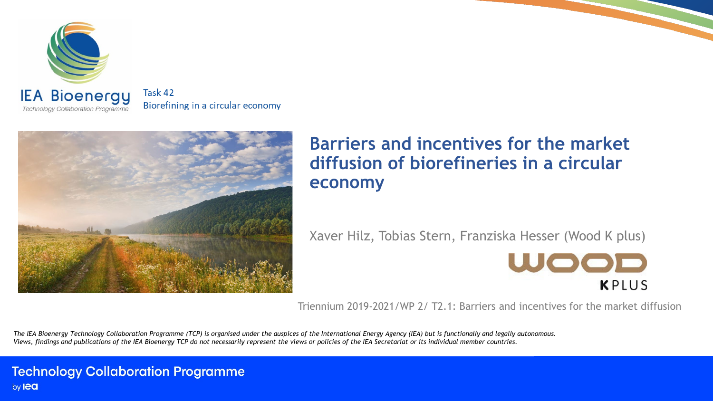

Task 42 Biorefining in a circular economy



#### **Barriers and incentives for the market diffusion of biorefineries in a circular economy**

Xaver Hilz, Tobias Stern, Franziska Hesser (Wood K plus)



Triennium 2019-2021/WP 2/ T2.1: Barriers and incentives for the market diffusion

The IEA Bioenergy Technology Collaboration Programme (TCP) is organised under the auspices of the International Energy Agency (IEA) but is functionally and legally autonomous. Views, findings and publications of the IEA Bioenergy TCP do not necessarily represent the views or policies of the IEA Secretariat or its individual member countries.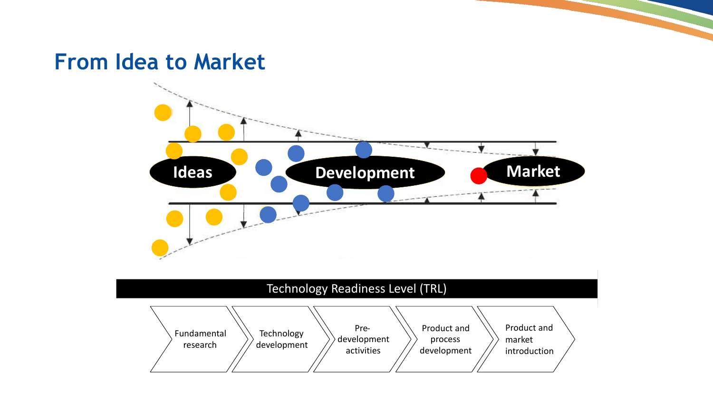### **From Idea to Market**



#### Technology Readiness Level (TRL)

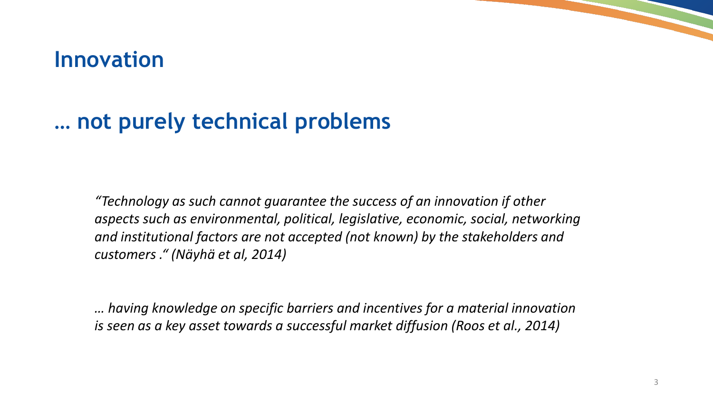### **Innovation**

### **… not purely technical problems**

*"Technology as such cannot guarantee the success of an innovation if other aspects such as environmental, political, legislative, economic, social, networking and institutional factors are not accepted (not known) by the stakeholders and customers ." (Näyhä et al, 2014)*

*… having knowledge on specific barriers and incentives for a material innovation is seen as a key asset towards a successful market diffusion (Roos et al., 2014)*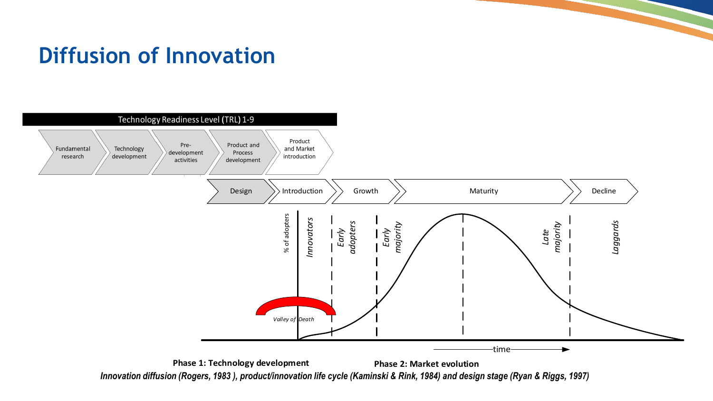## **Diffusion of Innovation**



*Innovation diffusion (Rogers, 1983 ), product/innovation life cycle (Kaminski & Rink, 1984) and design stage (Ryan & Riggs, 1997)*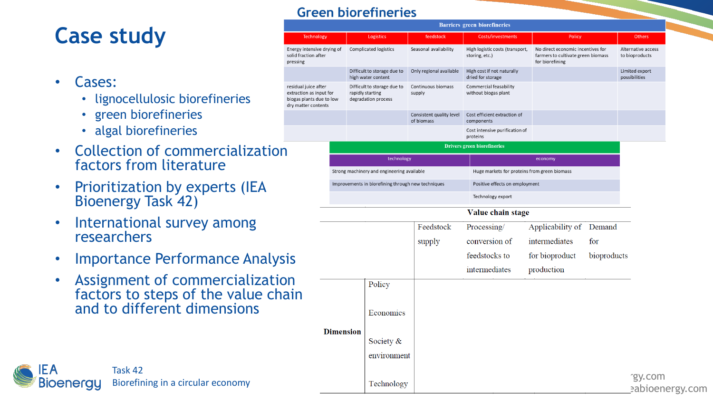### **Case study**

- Cases:
	- lignocellulosic biorefineries
	- green biorefineries
	- algal biorefineries
- Collection of commercialization factors from literature
- Prioritization by experts (IEA Bioenergy Task 42)
- International survey among researchers

Task 42

IFΑ

**Bioenergy** 

- Importance Performance Analysis
- Assignment of commercialization factors to steps of the value chain and to different dimensions

Biorefining in a circular economy

#### **Green biorefineries**

|                                                                                            |                                                    |                                                                        |                                        | <b>Barriers green biorefineries</b>               |                                                                                            |             |                                      |
|--------------------------------------------------------------------------------------------|----------------------------------------------------|------------------------------------------------------------------------|----------------------------------------|---------------------------------------------------|--------------------------------------------------------------------------------------------|-------------|--------------------------------------|
| <b>Technology</b>                                                                          |                                                    | Logistics                                                              | feedstock                              | Costs/investments                                 | Policy                                                                                     |             | Others                               |
| ergy intensive drying of<br>lid fraction after<br>essing <sup>.</sup>                      |                                                    | Complicated logistics                                                  | Seasonal availability                  | High logistic costs (transport,<br>storing, etc.) | No direct economic incentives for<br>farmers to cultivate green biomass<br>for biorefining |             | Alternative access<br>to bioproducts |
|                                                                                            |                                                    | Difficult to storage due to<br>high water content                      | Only regional available                | High cost if not naturally<br>dried for storage   |                                                                                            |             | Limited export<br>possibilities      |
| sidual juice after<br>traction as input for<br>ogas plants due to low<br>y matter contents |                                                    | Difficult to storage due to<br>rapidly starting<br>degradation process | Continuous biomass<br>supply           | Commercial feasability<br>without biogas plant    |                                                                                            |             |                                      |
|                                                                                            |                                                    |                                                                        | Consistent quality level<br>of biomass | Cost efficient extraction of<br>components        |                                                                                            |             |                                      |
|                                                                                            |                                                    |                                                                        |                                        | Cost intensive purification of<br>proteins        |                                                                                            |             |                                      |
|                                                                                            | <b>Drivers green biorefineries</b>                 |                                                                        |                                        |                                                   |                                                                                            |             |                                      |
|                                                                                            |                                                    | technology                                                             |                                        |                                                   | economy                                                                                    |             |                                      |
|                                                                                            |                                                    | Strong machinery and engineering available                             |                                        | Huge markets for proteins from green biomass      |                                                                                            |             |                                      |
|                                                                                            | Improvements in biorefining through new techniques |                                                                        |                                        | Positive effects on employment                    |                                                                                            |             |                                      |
|                                                                                            |                                                    |                                                                        |                                        | Technology export                                 |                                                                                            |             |                                      |
|                                                                                            | Value chain stage                                  |                                                                        |                                        |                                                   |                                                                                            |             |                                      |
|                                                                                            |                                                    |                                                                        | Feedstock                              | Processing/                                       | Applicability of Demand                                                                    |             |                                      |
|                                                                                            |                                                    |                                                                        | supply                                 | conversion of                                     | intermediates                                                                              | for         |                                      |
| S                                                                                          |                                                    |                                                                        |                                        | feedstocks to                                     | for bioproduct                                                                             | bioproducts |                                      |
|                                                                                            |                                                    |                                                                        |                                        | intermediates                                     | production                                                                                 |             |                                      |
|                                                                                            |                                                    | Policy                                                                 |                                        |                                                   |                                                                                            |             |                                      |
| in                                                                                         |                                                    |                                                                        |                                        |                                                   |                                                                                            |             |                                      |
|                                                                                            |                                                    | Economics                                                              |                                        |                                                   |                                                                                            |             |                                      |
|                                                                                            |                                                    |                                                                        |                                        |                                                   |                                                                                            |             |                                      |
|                                                                                            | <b>Dimension</b>                                   | Society &                                                              |                                        |                                                   |                                                                                            |             |                                      |
|                                                                                            |                                                    | environment                                                            |                                        |                                                   |                                                                                            |             |                                      |
|                                                                                            |                                                    |                                                                        |                                        |                                                   |                                                                                            |             |                                      |
|                                                                                            |                                                    | Technology                                                             |                                        |                                                   |                                                                                            |             | rgy.com<br>eabioenergy.com           |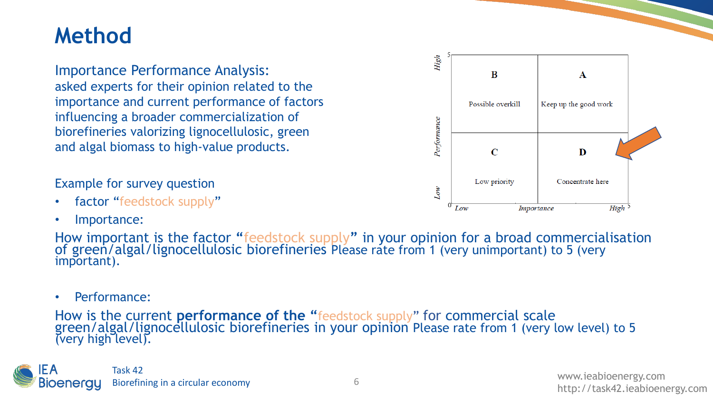### **Method**

Importance Performance Analysis: asked experts for their opinion related to the importance and current performance of factors influencing a broader commercialization of biorefineries valorizing lignocellulosic, green and algal biomass to high-value products.

#### Example for survey question

- factor "feedstock supply"
- Importance:

How important is the factor "feedstock supply" in your opinion for a broad commercialisation of green/algal/lignocellulosic biorefineries Please rate from 1 (very unimportant) to 5 (very important).

• Performance:

How is the current **performance of the "**feedstock supply" for commercial scale green/algal/lignocellulosic biorefineries in your opinion Please rate from 1 (very low level) to 5<br>(very high level).

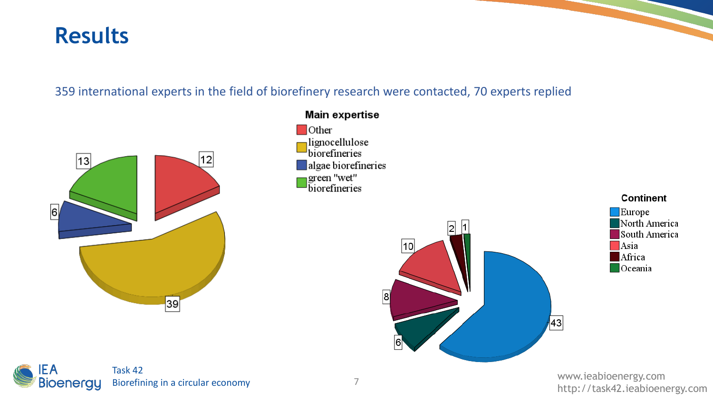### **Results**

#### 359 international experts in the field of biorefinery research were contacted, 70 experts replied



www.ieabioenergy.com http://task42.ieabioenergy.com <sup>7</sup>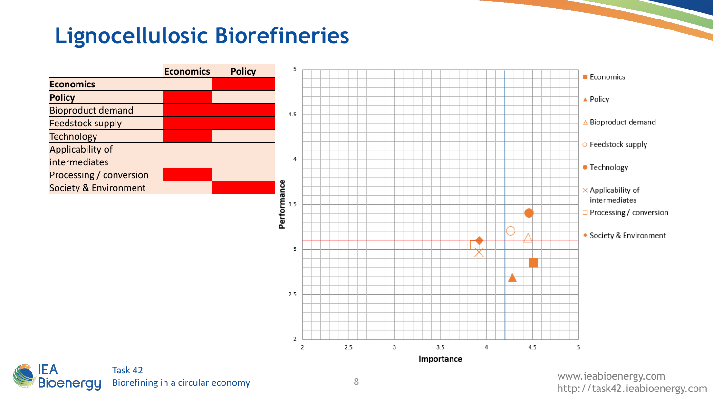## **Lignocellulosic Biorefineries**

|                          | <b>Economics</b> | <b>Policy</b> |
|--------------------------|------------------|---------------|
| <b>Economics</b>         |                  |               |
| <b>Policy</b>            |                  |               |
| <b>Bioproduct demand</b> |                  |               |
| <b>Feedstock supply</b>  |                  |               |
| <b>Technology</b>        |                  |               |
| Applicability of         |                  |               |
| intermediates            |                  |               |
| Processing / conversion  |                  |               |
| Society & Environment    |                  |               |
|                          |                  |               |





www.ieabioenergy.com 8<br>http://task42.ieabioenergy.com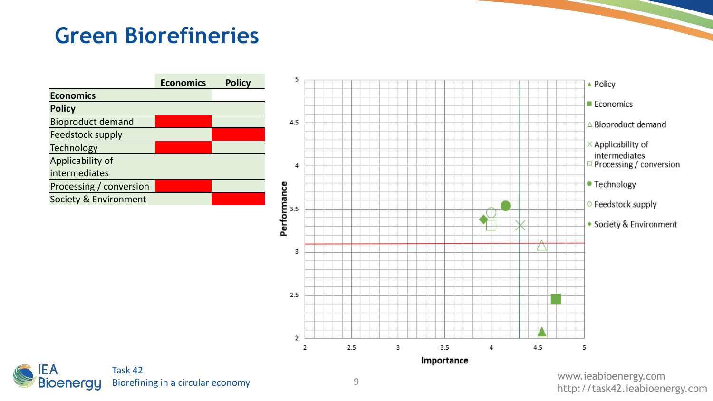### **Green Biorefineries**

|                          | <b>Economics</b> | <b>Policy</b> |
|--------------------------|------------------|---------------|
| <b>Economics</b>         |                  |               |
| <b>Policy</b>            |                  |               |
| <b>Bioproduct demand</b> |                  |               |
| <b>Feedstock supply</b>  |                  |               |
| <b>Technology</b>        |                  |               |
| Applicability of         |                  |               |
| intermediates            |                  |               |
| Processing / conversion  |                  |               |
| Society & Environment    |                  |               |
|                          |                  |               |





www.ieabioenergy.com g<br>http://task42.ieabioenergy.com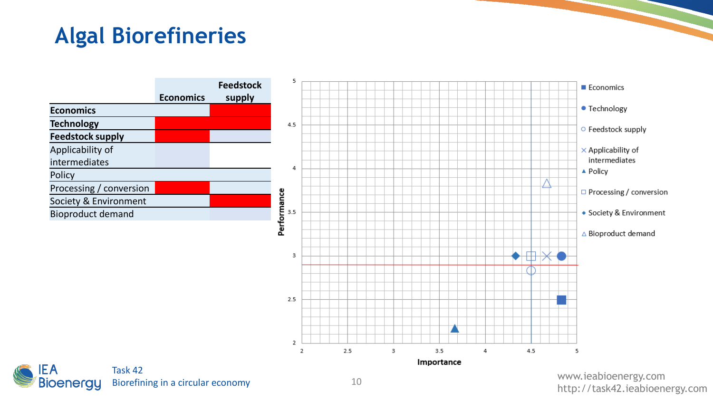## **Algal Biorefineries**

|                          |                  | <b>Feedstock</b> |
|--------------------------|------------------|------------------|
|                          | <b>Economics</b> | supply           |
| <b>Economics</b>         |                  |                  |
| <b>Technology</b>        |                  |                  |
| <b>Feedstock supply</b>  |                  |                  |
| Applicability of         |                  |                  |
| intermediates            |                  |                  |
| Policy                   |                  |                  |
| Processing / conversion  |                  |                  |
| Society & Environment    |                  |                  |
| <b>Bioproduct demand</b> |                  |                  |
|                          |                  |                  |





www.ieabioenergy.com 10<br>http://task42.ieabioenergy.com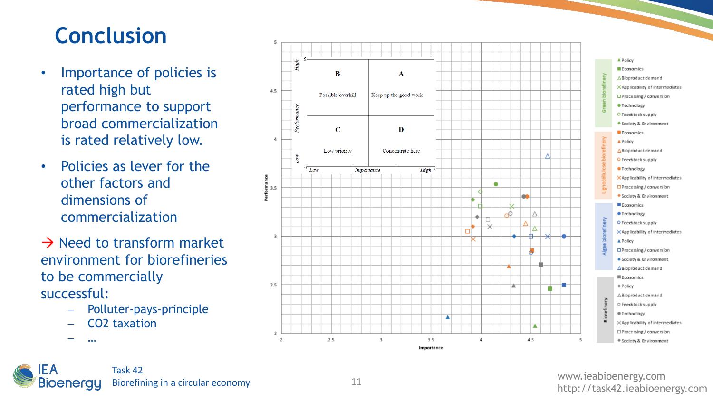### **Conclusion**

- Importance of policies is rated high but performance to support broad commercialization is rated relatively low.
- Policies as lever for the other factors and dimensions of commercialization
- $\rightarrow$  Need to transform market environment for biorefineries to be commercially successful:
	- − Polluter -pays -principle
	- − CO2 taxation

 $- -$ 



IEA Task 42 Biorefining in a circular economy **Bioenergy**